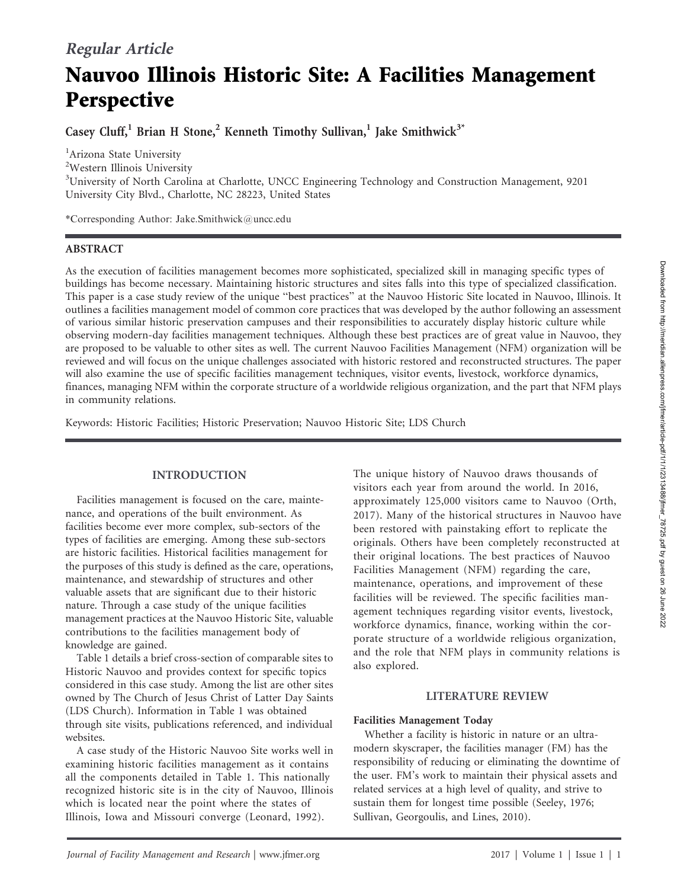# Nauvoo Illinois Historic Site: A Facilities Management **Perspective**

Casey Cluff,<sup>1</sup> Brian H Stone,<sup>2</sup> Kenneth Timothy Sullivan,<sup>1</sup> Jake Smithwick<sup>3\*</sup>

<sup>1</sup>Arizona State University

<sup>2</sup>Western Illinois University

<sup>3</sup>University of North Carolina at Charlotte, UNCC Engineering Technology and Construction Management, 9201 University City Blvd., Charlotte, NC 28223, United States

\*Corresponding Author: Jake.Smithwick@uncc.edu

# ABSTRACT

As the execution of facilities management becomes more sophisticated, specialized skill in managing specific types of buildings has become necessary. Maintaining historic structures and sites falls into this type of specialized classification. This paper is a case study review of the unique ''best practices'' at the Nauvoo Historic Site located in Nauvoo, Illinois. It outlines a facilities management model of common core practices that was developed by the author following an assessment of various similar historic preservation campuses and their responsibilities to accurately display historic culture while observing modern-day facilities management techniques. Although these best practices are of great value in Nauvoo, they are proposed to be valuable to other sites as well. The current Nauvoo Facilities Management (NFM) organization will be reviewed and will focus on the unique challenges associated with historic restored and reconstructed structures. The paper will also examine the use of specific facilities management techniques, visitor events, livestock, workforce dynamics, finances, managing NFM within the corporate structure of a worldwide religious organization, and the part that NFM plays in community relations.

Keywords: Historic Facilities; Historic Preservation; Nauvoo Historic Site; LDS Church

# INTRODUCTION

Facilities management is focused on the care, maintenance, and operations of the built environment. As facilities become ever more complex, sub-sectors of the types of facilities are emerging. Among these sub-sectors are historic facilities. Historical facilities management for the purposes of this study is defined as the care, operations, maintenance, and stewardship of structures and other valuable assets that are significant due to their historic nature. Through a case study of the unique facilities management practices at the Nauvoo Historic Site, valuable contributions to the facilities management body of knowledge are gained.

Table 1 details a brief cross-section of comparable sites to Historic Nauvoo and provides context for specific topics considered in this case study. Among the list are other sites owned by The Church of Jesus Christ of Latter Day Saints (LDS Church). Information in Table 1 was obtained through site visits, publications referenced, and individual websites.

A case study of the Historic Nauvoo Site works well in examining historic facilities management as it contains all the components detailed in Table 1. This nationally recognized historic site is in the city of Nauvoo, Illinois which is located near the point where the states of Illinois, Iowa and Missouri converge (Leonard, 1992).

The unique history of Nauvoo draws thousands of visitors each year from around the world. In 2016, approximately 125,000 visitors came to Nauvoo (Orth, 2017). Many of the historical structures in Nauvoo have been restored with painstaking effort to replicate the originals. Others have been completely reconstructed at their original locations. The best practices of Nauvoo Facilities Management (NFM) regarding the care, maintenance, operations, and improvement of these facilities will be reviewed. The specific facilities management techniques regarding visitor events, livestock, workforce dynamics, finance, working within the corporate structure of a worldwide religious organization, and the role that NFM plays in community relations is also explored.

# LITERATURE REVIEW

# Facilities Management Today

Whether a facility is historic in nature or an ultramodern skyscraper, the facilities manager (FM) has the responsibility of reducing or eliminating the downtime of the user. FM's work to maintain their physical assets and related services at a high level of quality, and strive to sustain them for longest time possible (Seeley, 1976; Sullivan, Georgoulis, and Lines, 2010).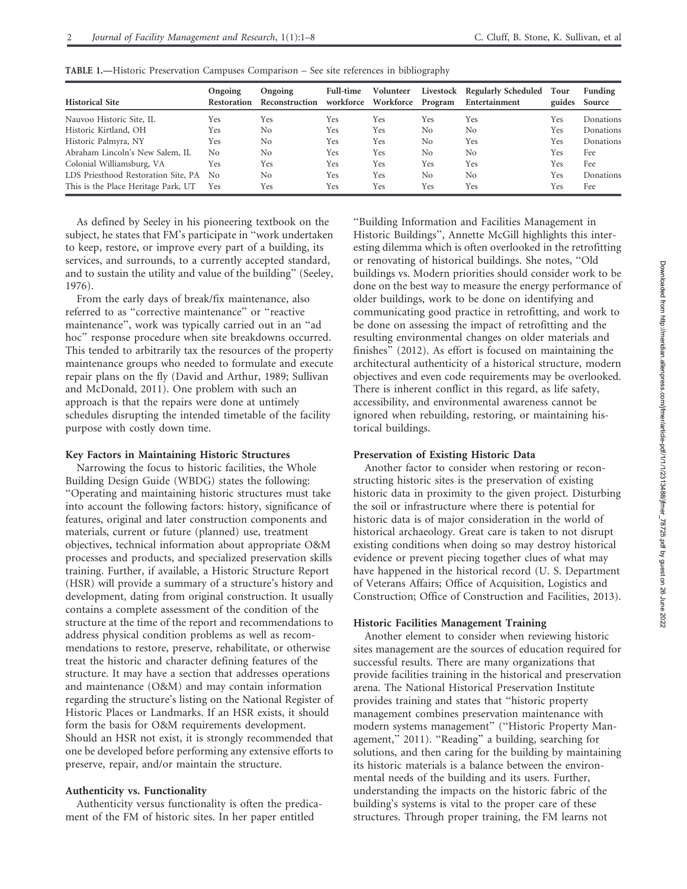| <b>Historical Site</b>              | Ongoing<br>Restoration | Ongoing<br>Reconstruction | <b>Full-time</b><br>workforce | Volunteer<br>Workforce | Livestock<br>Program | <b>Regularly Scheduled</b><br>Entertainment | Tour<br>guides | Funding<br>Source |
|-------------------------------------|------------------------|---------------------------|-------------------------------|------------------------|----------------------|---------------------------------------------|----------------|-------------------|
| Nauvoo Historic Site, IL            | Yes                    | Yes                       | Yes                           | Yes                    | Yes                  | Yes                                         | Yes            | Donations         |
| Historic Kirtland, OH               | Yes                    | No                        | Yes                           | Yes                    | No                   | No                                          | Yes            | <b>Donations</b>  |
| Historic Palmyra, NY                | Yes                    | No                        | Yes                           | Yes                    | No                   | Yes                                         | Yes            | <b>Donations</b>  |
| Abraham Lincoln's New Salem, IL     | N <sub>0</sub>         | No                        | Yes                           | Yes                    | No                   | No                                          | Yes            | Fee               |
| Colonial Williamsburg, VA           | Yes                    | Yes                       | Yes                           | Yes                    | Yes                  | Yes                                         | Yes            | Fee               |
| LDS Priesthood Restoration Site, PA | N <sub>0</sub>         | No                        | Yes                           | Yes                    | No                   | No                                          | Yes            | Donations         |
| This is the Place Heritage Park, UT | Yes                    | Yes                       | Yes                           | Yes                    | Yes                  | Yes                                         | Yes            | Fee               |

TABLE 1.—Historic Preservation Campuses Comparison – See site references in bibliography

As defined by Seeley in his pioneering textbook on the subject, he states that FM's participate in ''work undertaken to keep, restore, or improve every part of a building, its services, and surrounds, to a currently accepted standard, and to sustain the utility and value of the building'' (Seeley, 1976).

From the early days of break/fix maintenance, also referred to as ''corrective maintenance'' or ''reactive maintenance'', work was typically carried out in an ''ad hoc'' response procedure when site breakdowns occurred. This tended to arbitrarily tax the resources of the property maintenance groups who needed to formulate and execute repair plans on the fly (David and Arthur, 1989; Sullivan and McDonald, 2011). One problem with such an approach is that the repairs were done at untimely schedules disrupting the intended timetable of the facility purpose with costly down time.

#### Key Factors in Maintaining Historic Structures

Narrowing the focus to historic facilities, the Whole Building Design Guide (WBDG) states the following: ''Operating and maintaining historic structures must take into account the following factors: history, significance of features, original and later construction components and materials, current or future (planned) use, treatment objectives, technical information about appropriate O&M processes and products, and specialized preservation skills training. Further, if available, a Historic Structure Report (HSR) will provide a summary of a structure's history and development, dating from original construction. It usually contains a complete assessment of the condition of the structure at the time of the report and recommendations to address physical condition problems as well as recommendations to restore, preserve, rehabilitate, or otherwise treat the historic and character defining features of the structure. It may have a section that addresses operations and maintenance (O&M) and may contain information regarding the structure's listing on the National Register of Historic Places or Landmarks. If an HSR exists, it should form the basis for O&M requirements development. Should an HSR not exist, it is strongly recommended that one be developed before performing any extensive efforts to preserve, repair, and/or maintain the structure.

#### Authenticity vs. Functionality

Authenticity versus functionality is often the predicament of the FM of historic sites. In her paper entitled

''Building Information and Facilities Management in Historic Buildings'', Annette McGill highlights this interesting dilemma which is often overlooked in the retrofitting or renovating of historical buildings. She notes, ''Old buildings vs. Modern priorities should consider work to be done on the best way to measure the energy performance of older buildings, work to be done on identifying and communicating good practice in retrofitting, and work to be done on assessing the impact of retrofitting and the resulting environmental changes on older materials and finishes'' (2012). As effort is focused on maintaining the architectural authenticity of a historical structure, modern objectives and even code requirements may be overlooked. There is inherent conflict in this regard, as life safety, accessibility, and environmental awareness cannot be ignored when rebuilding, restoring, or maintaining historical buildings.

#### Preservation of Existing Historic Data

Another factor to consider when restoring or reconstructing historic sites is the preservation of existing historic data in proximity to the given project. Disturbing the soil or infrastructure where there is potential for historic data is of major consideration in the world of historical archaeology. Great care is taken to not disrupt existing conditions when doing so may destroy historical evidence or prevent piecing together clues of what may have happened in the historical record (U. S. Department of Veterans Affairs; Office of Acquisition, Logistics and Construction; Office of Construction and Facilities, 2013).

#### Historic Facilities Management Training

Another element to consider when reviewing historic sites management are the sources of education required for successful results. There are many organizations that provide facilities training in the historical and preservation arena. The National Historical Preservation Institute provides training and states that ''historic property management combines preservation maintenance with modern systems management'' (''Historic Property Management,'' 2011). ''Reading'' a building, searching for solutions, and then caring for the building by maintaining its historic materials is a balance between the environmental needs of the building and its users. Further, understanding the impacts on the historic fabric of the building's systems is vital to the proper care of these structures. Through proper training, the FM learns not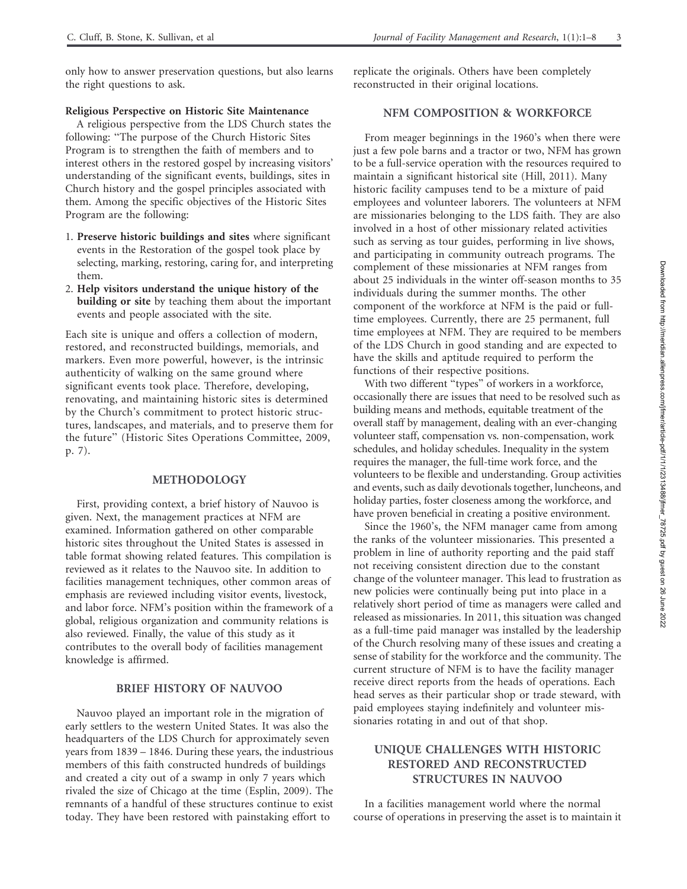only how to answer preservation questions, but also learns the right questions to ask.

#### Religious Perspective on Historic Site Maintenance

A religious perspective from the LDS Church states the following: ''The purpose of the Church Historic Sites Program is to strengthen the faith of members and to interest others in the restored gospel by increasing visitors' understanding of the significant events, buildings, sites in Church history and the gospel principles associated with them. Among the specific objectives of the Historic Sites Program are the following:

- 1. Preserve historic buildings and sites where significant events in the Restoration of the gospel took place by selecting, marking, restoring, caring for, and interpreting them.
- 2. Help visitors understand the unique history of the building or site by teaching them about the important events and people associated with the site.

Each site is unique and offers a collection of modern, restored, and reconstructed buildings, memorials, and markers. Even more powerful, however, is the intrinsic authenticity of walking on the same ground where significant events took place. Therefore, developing, renovating, and maintaining historic sites is determined by the Church's commitment to protect historic structures, landscapes, and materials, and to preserve them for the future'' (Historic Sites Operations Committee, 2009, p. 7).

#### METHODOLOGY

First, providing context, a brief history of Nauvoo is given. Next, the management practices at NFM are examined. Information gathered on other comparable historic sites throughout the United States is assessed in table format showing related features. This compilation is reviewed as it relates to the Nauvoo site. In addition to facilities management techniques, other common areas of emphasis are reviewed including visitor events, livestock, and labor force. NFM's position within the framework of a global, religious organization and community relations is also reviewed. Finally, the value of this study as it contributes to the overall body of facilities management knowledge is affirmed.

#### BRIEF HISTORY OF NAUVOO

Nauvoo played an important role in the migration of early settlers to the western United States. It was also the headquarters of the LDS Church for approximately seven years from 1839 – 1846. During these years, the industrious members of this faith constructed hundreds of buildings and created a city out of a swamp in only 7 years which rivaled the size of Chicago at the time (Esplin, 2009). The remnants of a handful of these structures continue to exist today. They have been restored with painstaking effort to

replicate the originals. Others have been completely reconstructed in their original locations.

#### NFM COMPOSITION & WORKFORCE

From meager beginnings in the 1960's when there were just a few pole barns and a tractor or two, NFM has grown to be a full-service operation with the resources required to maintain a significant historical site (Hill, 2011). Many historic facility campuses tend to be a mixture of paid employees and volunteer laborers. The volunteers at NFM are missionaries belonging to the LDS faith. They are also involved in a host of other missionary related activities such as serving as tour guides, performing in live shows, and participating in community outreach programs. The complement of these missionaries at NFM ranges from about 25 individuals in the winter off-season months to 35 individuals during the summer months. The other component of the workforce at NFM is the paid or fulltime employees. Currently, there are 25 permanent, full time employees at NFM. They are required to be members of the LDS Church in good standing and are expected to have the skills and aptitude required to perform the functions of their respective positions.

With two different "types" of workers in a workforce, occasionally there are issues that need to be resolved such as building means and methods, equitable treatment of the overall staff by management, dealing with an ever-changing volunteer staff, compensation vs. non-compensation, work schedules, and holiday schedules. Inequality in the system requires the manager, the full-time work force, and the volunteers to be flexible and understanding. Group activities and events, such as daily devotionals together, luncheons, and holiday parties, foster closeness among the workforce, and have proven beneficial in creating a positive environment.

Since the 1960's, the NFM manager came from among the ranks of the volunteer missionaries. This presented a problem in line of authority reporting and the paid staff not receiving consistent direction due to the constant change of the volunteer manager. This lead to frustration as new policies were continually being put into place in a relatively short period of time as managers were called and released as missionaries. In 2011, this situation was changed as a full-time paid manager was installed by the leadership of the Church resolving many of these issues and creating a sense of stability for the workforce and the community. The current structure of NFM is to have the facility manager receive direct reports from the heads of operations. Each head serves as their particular shop or trade steward, with paid employees staying indefinitely and volunteer missionaries rotating in and out of that shop.

### UNIQUE CHALLENGES WITH HISTORIC RESTORED AND RECONSTRUCTED STRUCTURES IN NAUVOO

In a facilities management world where the normal course of operations in preserving the asset is to maintain it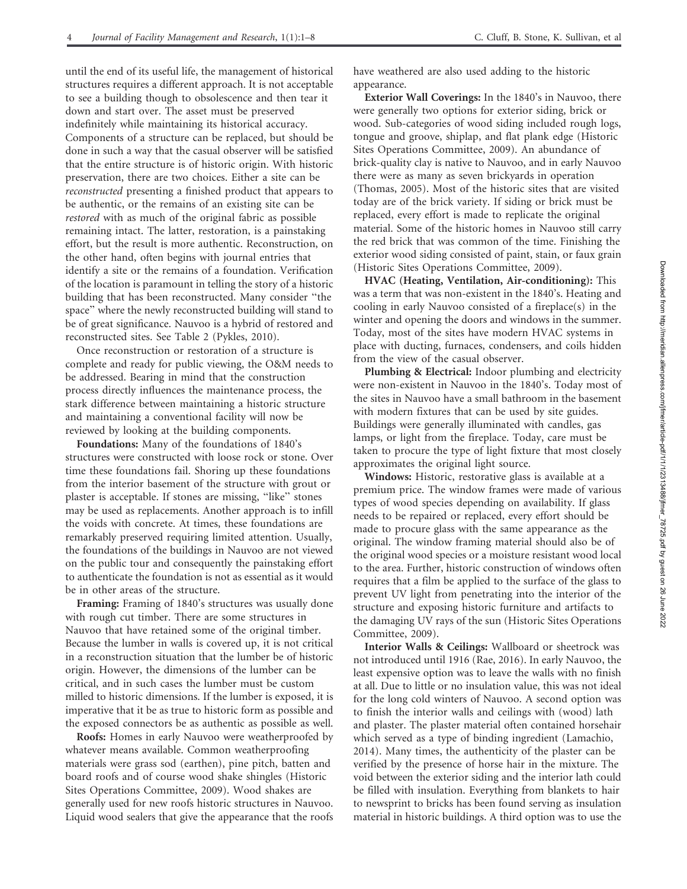until the end of its useful life, the management of historical structures requires a different approach. It is not acceptable to see a building though to obsolescence and then tear it down and start over. The asset must be preserved indefinitely while maintaining its historical accuracy. Components of a structure can be replaced, but should be done in such a way that the casual observer will be satisfied that the entire structure is of historic origin. With historic preservation, there are two choices. Either a site can be reconstructed presenting a finished product that appears to be authentic, or the remains of an existing site can be restored with as much of the original fabric as possible remaining intact. The latter, restoration, is a painstaking effort, but the result is more authentic. Reconstruction, on the other hand, often begins with journal entries that identify a site or the remains of a foundation. Verification of the location is paramount in telling the story of a historic building that has been reconstructed. Many consider ''the space'' where the newly reconstructed building will stand to be of great significance. Nauvoo is a hybrid of restored and reconstructed sites. See Table 2 (Pykles, 2010).

Once reconstruction or restoration of a structure is complete and ready for public viewing, the O&M needs to be addressed. Bearing in mind that the construction process directly influences the maintenance process, the stark difference between maintaining a historic structure and maintaining a conventional facility will now be reviewed by looking at the building components.

Foundations: Many of the foundations of 1840's structures were constructed with loose rock or stone. Over time these foundations fail. Shoring up these foundations from the interior basement of the structure with grout or plaster is acceptable. If stones are missing, ''like'' stones may be used as replacements. Another approach is to infill the voids with concrete. At times, these foundations are remarkably preserved requiring limited attention. Usually, the foundations of the buildings in Nauvoo are not viewed on the public tour and consequently the painstaking effort to authenticate the foundation is not as essential as it would be in other areas of the structure.

Framing: Framing of 1840's structures was usually done with rough cut timber. There are some structures in Nauvoo that have retained some of the original timber. Because the lumber in walls is covered up, it is not critical in a reconstruction situation that the lumber be of historic origin. However, the dimensions of the lumber can be critical, and in such cases the lumber must be custom milled to historic dimensions. If the lumber is exposed, it is imperative that it be as true to historic form as possible and the exposed connectors be as authentic as possible as well.

Roofs: Homes in early Nauvoo were weatherproofed by whatever means available. Common weatherproofing materials were grass sod (earthen), pine pitch, batten and board roofs and of course wood shake shingles (Historic Sites Operations Committee, 2009). Wood shakes are generally used for new roofs historic structures in Nauvoo. Liquid wood sealers that give the appearance that the roofs

have weathered are also used adding to the historic appearance.

Exterior Wall Coverings: In the 1840's in Nauvoo, there were generally two options for exterior siding, brick or wood. Sub-categories of wood siding included rough logs, tongue and groove, shiplap, and flat plank edge (Historic Sites Operations Committee, 2009). An abundance of brick-quality clay is native to Nauvoo, and in early Nauvoo there were as many as seven brickyards in operation (Thomas, 2005). Most of the historic sites that are visited today are of the brick variety. If siding or brick must be replaced, every effort is made to replicate the original material. Some of the historic homes in Nauvoo still carry the red brick that was common of the time. Finishing the exterior wood siding consisted of paint, stain, or faux grain (Historic Sites Operations Committee, 2009).

HVAC (Heating, Ventilation, Air-conditioning): This was a term that was non-existent in the 1840's. Heating and cooling in early Nauvoo consisted of a fireplace(s) in the winter and opening the doors and windows in the summer. Today, most of the sites have modern HVAC systems in place with ducting, furnaces, condensers, and coils hidden from the view of the casual observer.

Plumbing & Electrical: Indoor plumbing and electricity were non-existent in Nauvoo in the 1840's. Today most of the sites in Nauvoo have a small bathroom in the basement with modern fixtures that can be used by site guides. Buildings were generally illuminated with candles, gas lamps, or light from the fireplace. Today, care must be taken to procure the type of light fixture that most closely approximates the original light source.

Windows: Historic, restorative glass is available at a premium price. The window frames were made of various types of wood species depending on availability. If glass needs to be repaired or replaced, every effort should be made to procure glass with the same appearance as the original. The window framing material should also be of the original wood species or a moisture resistant wood local to the area. Further, historic construction of windows often requires that a film be applied to the surface of the glass to prevent UV light from penetrating into the interior of the structure and exposing historic furniture and artifacts to the damaging UV rays of the sun (Historic Sites Operations Committee, 2009).

Interior Walls & Ceilings: Wallboard or sheetrock was not introduced until 1916 (Rae, 2016). In early Nauvoo, the least expensive option was to leave the walls with no finish at all. Due to little or no insulation value, this was not ideal for the long cold winters of Nauvoo. A second option was to finish the interior walls and ceilings with (wood) lath and plaster. The plaster material often contained horsehair which served as a type of binding ingredient (Lamachio, 2014). Many times, the authenticity of the plaster can be verified by the presence of horse hair in the mixture. The void between the exterior siding and the interior lath could be filled with insulation. Everything from blankets to hair to newsprint to bricks has been found serving as insulation material in historic buildings. A third option was to use the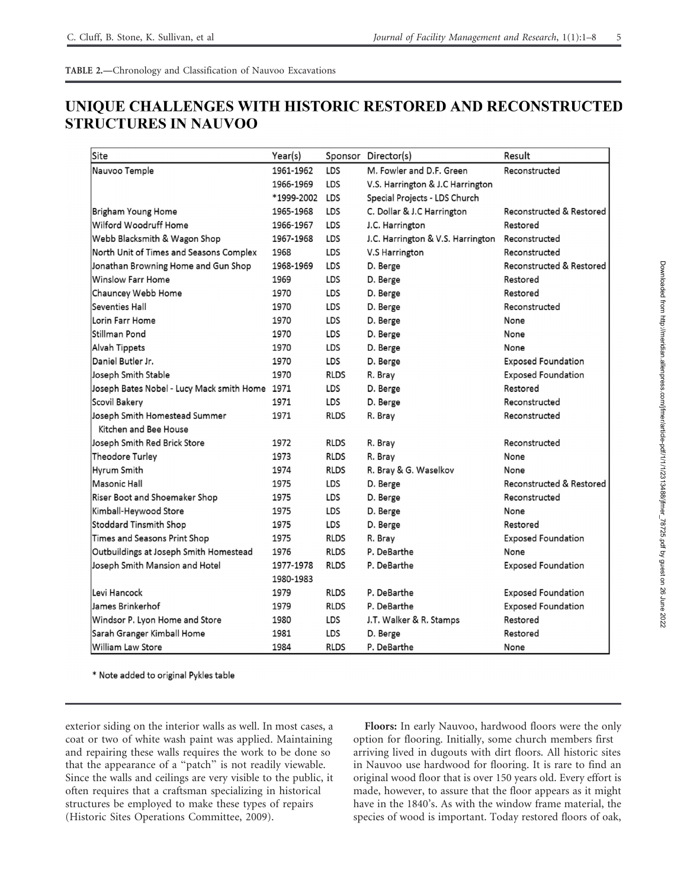# UNIQUE CHALLENGES WITH HISTORIC RESTORED AND RECONSTRUCTED **STRUCTURES IN NAUVOO**

| Site                                           | Year(s)    |             | Sponsor Director(s)               | Result                    |  |
|------------------------------------------------|------------|-------------|-----------------------------------|---------------------------|--|
| Nauvoo Temple                                  | 1961-1962  | LDS         | M. Fowler and D.F. Green          | Reconstructed             |  |
|                                                | 1966-1969  | LDS         | V.S. Harrington & J.C Harrington  |                           |  |
|                                                | *1999-2002 | LDS         | Special Projects - LDS Church     |                           |  |
| Brigham Young Home                             | 1965-1968  | LDS         | C. Dollar & J.C Harrington        | Reconstructed & Restored  |  |
| Wilford Woodruff Home                          | 1966-1967  | LDS         | J.C. Harrington                   | Restored                  |  |
| Webb Blacksmith & Wagon Shop                   | 1967-1968  | LDS         | J.C. Harrington & V.S. Harrington | Reconstructed             |  |
| North Unit of Times and Seasons Complex        | 1968       | LDS         | V.S Harrington                    | Reconstructed             |  |
| Jonathan Browning Home and Gun Shop            | 1968-1969  | LDS         | D. Berge                          | Reconstructed & Restored  |  |
| <b>Winslow Farr Home</b>                       | 1969       | LDS         | D. Berge                          | Restored                  |  |
| Chauncey Webb Home                             | 1970       | LDS         | D. Berge                          | Restored                  |  |
| Seventies Hall                                 | 1970       | LDS         | D. Berge                          | Reconstructed             |  |
| Lorin Farr Home                                | 1970       | LDS         | D. Berge                          | None                      |  |
| Stillman Pond                                  | 1970       | LDS         | D. Berge                          | None                      |  |
| Alvah Tippets                                  | 1970       | LDS         | D. Berge                          | None                      |  |
| Daniel Butler Jr.                              | 1970       | LDS         | D. Berge                          | <b>Exposed Foundation</b> |  |
| Joseph Smith Stable                            | 1970       | <b>RLDS</b> | R. Bray                           | <b>Exposed Foundation</b> |  |
| Joseph Bates Nobel - Lucy Mack smith Home 1971 |            | LDS         | D. Berge                          | Restored                  |  |
| Scovil Bakery                                  | 1971       | LDS         | D. Berge                          | Reconstructed             |  |
| Joseph Smith Homestead Summer                  | 1971       | <b>RLDS</b> | R. Bray                           | Reconstructed             |  |
| Kitchen and Bee House                          |            |             |                                   |                           |  |
| Joseph Smith Red Brick Store                   | 1972       | <b>RLDS</b> | R. Bray                           | Reconstructed             |  |
| Theodore Turley                                | 1973       | <b>RLDS</b> | R. Bray                           | None                      |  |
| Hyrum Smith                                    | 1974       | <b>RLDS</b> | R. Bray & G. Waselkov             | None                      |  |
| Masonic Hall                                   | 1975       | LDS         | D. Berge                          | Reconstructed & Restored  |  |
| Riser Boot and Shoemaker Shop                  | 1975       | LDS         | D. Berge                          | Reconstructed             |  |
| Kimball-Heywood Store                          | 1975       | LDS         | D. Berge                          | None                      |  |
| <b>Stoddard Tinsmith Shop</b>                  | 1975       | LDS         | D. Berge                          | Restored                  |  |
| Times and Seasons Print Shop                   | 1975       | <b>RLDS</b> | R. Bray                           | <b>Exposed Foundation</b> |  |
| Outbuildings at Joseph Smith Homestead         | 1976       | <b>RLDS</b> | P. DeBarthe                       | None                      |  |
| Joseph Smith Mansion and Hotel                 | 1977-1978  | <b>RLDS</b> | P. DeBarthe                       | <b>Exposed Foundation</b> |  |
|                                                | 1980-1983  |             |                                   |                           |  |
| Levi Hancock                                   | 1979       | <b>RLDS</b> | P. DeBarthe                       | <b>Exposed Foundation</b> |  |
| James Brinkerhof                               | 1979       | <b>RLDS</b> | P. DeBarthe                       | <b>Exposed Foundation</b> |  |
| Windsor P. Lyon Home and Store                 | 1980       | LDS         | J.T. Walker & R. Stamps           | Restored                  |  |
| Sarah Granger Kimball Home                     | 1981       | LDS         | D. Berge                          | Restored                  |  |
| <b>William Law Store</b>                       | 1984       | <b>RLDS</b> | P. DeBarthe                       | None                      |  |

\* Note added to original Pykles table

exterior siding on the interior walls as well. In most cases, a coat or two of white wash paint was applied. Maintaining and repairing these walls requires the work to be done so that the appearance of a ''patch'' is not readily viewable. Since the walls and ceilings are very visible to the public, it often requires that a craftsman specializing in historical structures be employed to make these types of repairs (Historic Sites Operations Committee, 2009).

Floors: In early Nauvoo, hardwood floors were the only option for flooring. Initially, some church members first arriving lived in dugouts with dirt floors. All historic sites in Nauvoo use hardwood for flooring. It is rare to find an original wood floor that is over 150 years old. Every effort is made, however, to assure that the floor appears as it might have in the 1840's. As with the window frame material, the species of wood is important. Today restored floors of oak,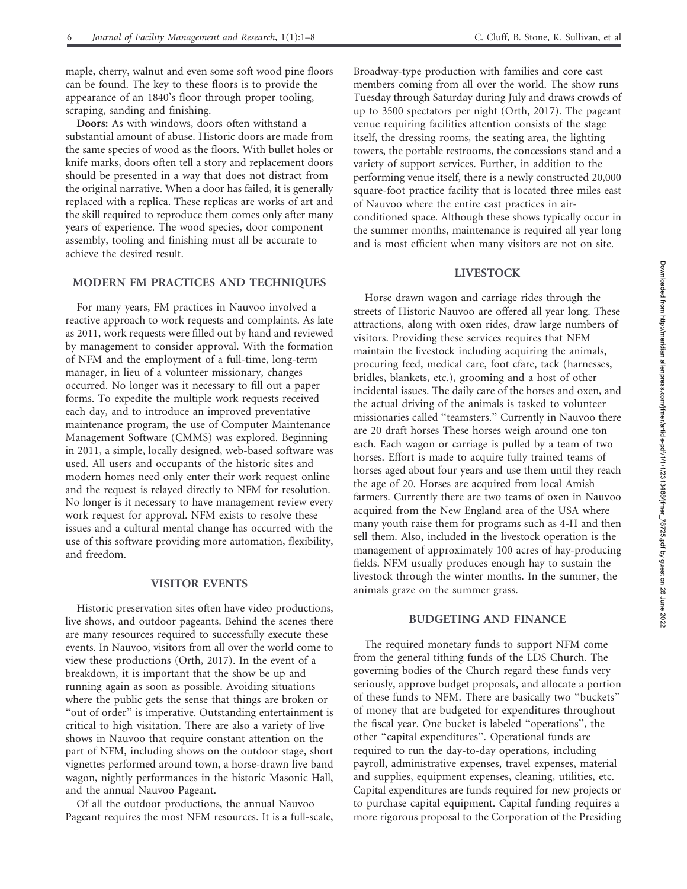maple, cherry, walnut and even some soft wood pine floors can be found. The key to these floors is to provide the appearance of an 1840's floor through proper tooling, scraping, sanding and finishing.

Doors: As with windows, doors often withstand a substantial amount of abuse. Historic doors are made from the same species of wood as the floors. With bullet holes or knife marks, doors often tell a story and replacement doors should be presented in a way that does not distract from the original narrative. When a door has failed, it is generally replaced with a replica. These replicas are works of art and the skill required to reproduce them comes only after many years of experience. The wood species, door component assembly, tooling and finishing must all be accurate to achieve the desired result.

#### MODERN FM PRACTICES AND TECHNIQUES

For many years, FM practices in Nauvoo involved a reactive approach to work requests and complaints. As late as 2011, work requests were filled out by hand and reviewed by management to consider approval. With the formation of NFM and the employment of a full-time, long-term manager, in lieu of a volunteer missionary, changes occurred. No longer was it necessary to fill out a paper forms. To expedite the multiple work requests received each day, and to introduce an improved preventative maintenance program, the use of Computer Maintenance Management Software (CMMS) was explored. Beginning in 2011, a simple, locally designed, web-based software was used. All users and occupants of the historic sites and modern homes need only enter their work request online and the request is relayed directly to NFM for resolution. No longer is it necessary to have management review every work request for approval. NFM exists to resolve these issues and a cultural mental change has occurred with the use of this software providing more automation, flexibility, and freedom.

#### VISITOR EVENTS

Historic preservation sites often have video productions, live shows, and outdoor pageants. Behind the scenes there are many resources required to successfully execute these events. In Nauvoo, visitors from all over the world come to view these productions (Orth, 2017). In the event of a breakdown, it is important that the show be up and running again as soon as possible. Avoiding situations where the public gets the sense that things are broken or "out of order" is imperative. Outstanding entertainment is critical to high visitation. There are also a variety of live shows in Nauvoo that require constant attention on the part of NFM, including shows on the outdoor stage, short vignettes performed around town, a horse-drawn live band wagon, nightly performances in the historic Masonic Hall, and the annual Nauvoo Pageant.

Of all the outdoor productions, the annual Nauvoo Pageant requires the most NFM resources. It is a full-scale,

Broadway-type production with families and core cast members coming from all over the world. The show runs Tuesday through Saturday during July and draws crowds of up to 3500 spectators per night (Orth, 2017). The pageant venue requiring facilities attention consists of the stage itself, the dressing rooms, the seating area, the lighting towers, the portable restrooms, the concessions stand and a variety of support services. Further, in addition to the performing venue itself, there is a newly constructed 20,000 square-foot practice facility that is located three miles east of Nauvoo where the entire cast practices in airconditioned space. Although these shows typically occur in the summer months, maintenance is required all year long and is most efficient when many visitors are not on site.

#### LIVESTOCK

Horse drawn wagon and carriage rides through the streets of Historic Nauvoo are offered all year long. These attractions, along with oxen rides, draw large numbers of visitors. Providing these services requires that NFM maintain the livestock including acquiring the animals, procuring feed, medical care, foot cfare, tack (harnesses, bridles, blankets, etc.), grooming and a host of other incidental issues. The daily care of the horses and oxen, and the actual driving of the animals is tasked to volunteer missionaries called ''teamsters.'' Currently in Nauvoo there are 20 draft horses These horses weigh around one ton each. Each wagon or carriage is pulled by a team of two horses. Effort is made to acquire fully trained teams of horses aged about four years and use them until they reach the age of 20. Horses are acquired from local Amish farmers. Currently there are two teams of oxen in Nauvoo acquired from the New England area of the USA where many youth raise them for programs such as 4-H and then sell them. Also, included in the livestock operation is the management of approximately 100 acres of hay-producing fields. NFM usually produces enough hay to sustain the livestock through the winter months. In the summer, the animals graze on the summer grass.

#### BUDGETING AND FINANCE

The required monetary funds to support NFM come from the general tithing funds of the LDS Church. The governing bodies of the Church regard these funds very seriously, approve budget proposals, and allocate a portion of these funds to NFM. There are basically two ''buckets'' of money that are budgeted for expenditures throughout the fiscal year. One bucket is labeled ''operations'', the other ''capital expenditures''. Operational funds are required to run the day-to-day operations, including payroll, administrative expenses, travel expenses, material and supplies, equipment expenses, cleaning, utilities, etc. Capital expenditures are funds required for new projects or to purchase capital equipment. Capital funding requires a more rigorous proposal to the Corporation of the Presiding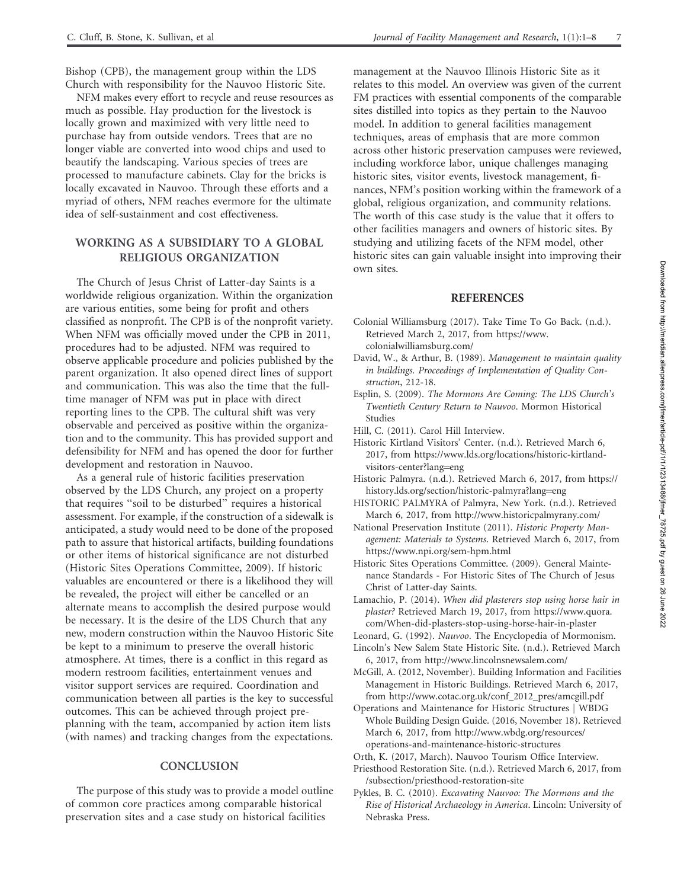Bishop (CPB), the management group within the LDS Church with responsibility for the Nauvoo Historic Site.

NFM makes every effort to recycle and reuse resources as much as possible. Hay production for the livestock is locally grown and maximized with very little need to purchase hay from outside vendors. Trees that are no longer viable are converted into wood chips and used to beautify the landscaping. Various species of trees are processed to manufacture cabinets. Clay for the bricks is locally excavated in Nauvoo. Through these efforts and a myriad of others, NFM reaches evermore for the ultimate idea of self-sustainment and cost effectiveness.

## WORKING AS A SUBSIDIARY TO A GLOBAL RELIGIOUS ORGANIZATION

The Church of Jesus Christ of Latter-day Saints is a worldwide religious organization. Within the organization are various entities, some being for profit and others classified as nonprofit. The CPB is of the nonprofit variety. When NFM was officially moved under the CPB in 2011, procedures had to be adjusted. NFM was required to observe applicable procedure and policies published by the parent organization. It also opened direct lines of support and communication. This was also the time that the fulltime manager of NFM was put in place with direct reporting lines to the CPB. The cultural shift was very observable and perceived as positive within the organization and to the community. This has provided support and defensibility for NFM and has opened the door for further development and restoration in Nauvoo.

As a general rule of historic facilities preservation observed by the LDS Church, any project on a property that requires ''soil to be disturbed'' requires a historical assessment. For example, if the construction of a sidewalk is anticipated, a study would need to be done of the proposed path to assure that historical artifacts, building foundations or other items of historical significance are not disturbed (Historic Sites Operations Committee, 2009). If historic valuables are encountered or there is a likelihood they will be revealed, the project will either be cancelled or an alternate means to accomplish the desired purpose would be necessary. It is the desire of the LDS Church that any new, modern construction within the Nauvoo Historic Site be kept to a minimum to preserve the overall historic atmosphere. At times, there is a conflict in this regard as modern restroom facilities, entertainment venues and visitor support services are required. Coordination and communication between all parties is the key to successful outcomes. This can be achieved through project preplanning with the team, accompanied by action item lists (with names) and tracking changes from the expectations.

#### **CONCLUSION**

The purpose of this study was to provide a model outline of common core practices among comparable historical preservation sites and a case study on historical facilities

management at the Nauvoo Illinois Historic Site as it relates to this model. An overview was given of the current FM practices with essential components of the comparable sites distilled into topics as they pertain to the Nauvoo model. In addition to general facilities management techniques, areas of emphasis that are more common across other historic preservation campuses were reviewed, including workforce labor, unique challenges managing historic sites, visitor events, livestock management, finances, NFM's position working within the framework of a global, religious organization, and community relations. The worth of this case study is the value that it offers to other facilities managers and owners of historic sites. By studying and utilizing facets of the NFM model, other historic sites can gain valuable insight into improving their own sites.

#### REFERENCES

- Colonial Williamsburg (2017). Take Time To Go Back. (n.d.). Retrieved March 2, 2017, from https://www. colonialwilliamsburg.com/
- David, W., & Arthur, B. (1989). Management to maintain quality in buildings. Proceedings of Implementation of Quality Construction, 212-18.
- Esplin, S. (2009). The Mormons Are Coming: The LDS Church's Twentieth Century Return to Nauvoo. Mormon Historical Studies

Hill, C. (2011). Carol Hill Interview.

- Historic Kirtland Visitors' Center. (n.d.). Retrieved March 6, 2017, from https://www.lds.org/locations/historic-kirtlandvisitors-center?lang=eng
- Historic Palmyra. (n.d.). Retrieved March 6, 2017, from https:// history.lds.org/section/historic-palmyra?lang=eng
- HISTORIC PALMYRA of Palmyra, New York. (n.d.). Retrieved March 6, 2017, from http://www.historicpalmyrany.com/
- National Preservation Institute (2011). Historic Property Management: Materials to Systems. Retrieved March 6, 2017, from https://www.npi.org/sem-hpm.html
- Historic Sites Operations Committee. (2009). General Maintenance Standards - For Historic Sites of The Church of Jesus Christ of Latter-day Saints.
- Lamachio, P. (2014). When did plasterers stop using horse hair in plaster? Retrieved March 19, 2017, from https://www.quora. com/When-did-plasters-stop-using-horse-hair-in-plaster
- Leonard, G. (1992). Nauvoo. The Encyclopedia of Mormonism. Lincoln's New Salem State Historic Site. (n.d.). Retrieved March
- 6, 2017, from http://www.lincolnsnewsalem.com/ McGill, A. (2012, November). Building Information and Facilities Management in Historic Buildings. Retrieved March 6, 2017,
- from http://www.cotac.org.uk/conf\_2012\_pres/amcgill.pdf Operations and Maintenance for Historic Structures j WBDG Whole Building Design Guide. (2016, November 18). Retrieved March 6, 2017, from http://www.wbdg.org/resources/
- operations-and-maintenance-historic-structures Orth, K. (2017, March). Nauvoo Tourism Office Interview.
- Priesthood Restoration Site. (n.d.). Retrieved March 6, 2017, from /subsection/priesthood-restoration-site
- Pykles, B. C. (2010). Excavating Nauvoo: The Mormons and the Rise of Historical Archaeology in America. Lincoln: University of Nebraska Press.